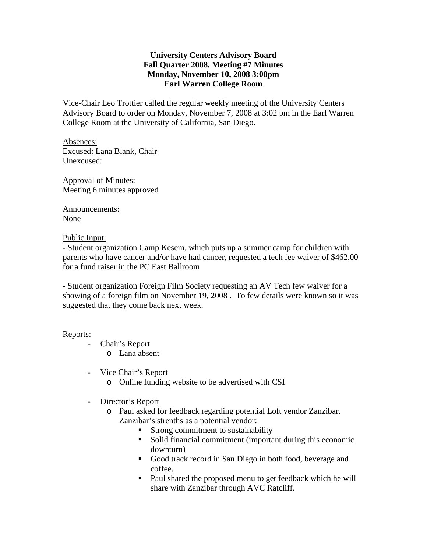# **University Centers Advisory Board Fall Quarter 2008, Meeting #7 Minutes Monday, November 10, 2008 3:00pm Earl Warren College Room**

Vice-Chair Leo Trottier called the regular weekly meeting of the University Centers Advisory Board to order on Monday, November 7, 2008 at 3:02 pm in the Earl Warren College Room at the University of California, San Diego.

Absences: Excused: Lana Blank, Chair Unexcused:

Approval of Minutes: Meeting 6 minutes approved

Announcements: None

## Public Input:

- Student organization Camp Kesem, which puts up a summer camp for children with parents who have cancer and/or have had cancer, requested a tech fee waiver of \$462.00 for a fund raiser in the PC East Ballroom

- Student organization Foreign Film Society requesting an AV Tech few waiver for a showing of a foreign film on November 19, 2008 . To few details were known so it was suggested that they come back next week.

## Reports:

- Chair's Report o Lana absent
- Vice Chair's Report
	- o Online funding website to be advertised with CSI
- Director's Report
	- o Paul asked for feedback regarding potential Loft vendor Zanzibar. Zanzibar's strenths as a potential vendor:
		- **Strong commitment to sustainability**
		- Solid financial commitment (important during this economic downturn)
		- Good track record in San Diego in both food, beverage and coffee.
		- Paul shared the proposed menu to get feedback which he will share with Zanzibar through AVC Ratcliff.